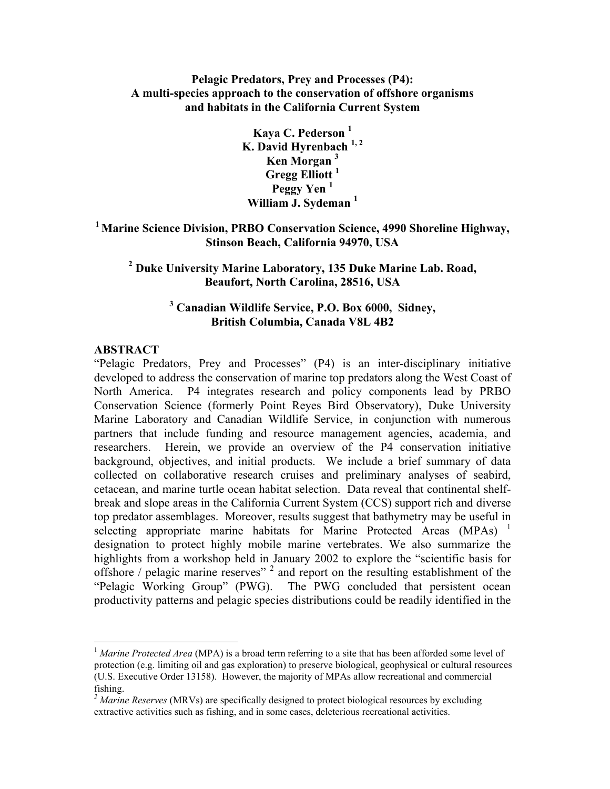# **Pelagic Predators, Prey and Processes (P4): A multi-species approach to the conservation of offshore organisms and habitats in the California Current System**

**Kaya C. Pederson 1 K. David Hyrenbach 1, 2 Ken Morgan <sup>3</sup> Gregg Elliott 1 Peggy Yen <sup>1</sup> William J. Sydeman <sup>1</sup>**

**1 Marine Science Division, PRBO Conservation Science, 4990 Shoreline Highway, Stinson Beach, California 94970, USA** 

**2 Duke University Marine Laboratory, 135 Duke Marine Lab. Road, Beaufort, North Carolina, 28516, USA** 

# **3 Canadian Wildlife Service, P.O. Box 6000, Sidney, British Columbia, Canada V8L 4B2**

#### **ABSTRACT**

 $\overline{a}$ 

"Pelagic Predators, Prey and Processes" (P4) is an inter-disciplinary initiative developed to address the conservation of marine top predators along the West Coast of North America. P4 integrates research and policy components lead by PRBO Conservation Science (formerly Point Reyes Bird Observatory), Duke University Marine Laboratory and Canadian Wildlife Service, in conjunction with numerous partners that include funding and resource management agencies, academia, and researchers. Herein, we provide an overview of the P4 conservation initiative background, objectives, and initial products. We include a brief summary of data collected on collaborative research cruises and preliminary analyses of seabird, cetacean, and marine turtle ocean habitat selection. Data reveal that continental shelfbreak and slope areas in the California Current System (CCS) support rich and diverse top predator assemblages. Moreover, results suggest that bathymetry may be useful in selecting appropriate marine habitats for Marine Protected Areas (MPAs)<sup>[1](#page-0-0)</sup> designation to protect highly mobile marine vertebrates. We also summarize the highlights from a workshop held in January 2002 to explore the "scientific basis for offshore / pelagic marine reserves"<sup>[2](#page-0-1)</sup> and report on the resulting establishment of the "Pelagic Working Group" (PWG). The PWG concluded that persistent ocean productivity patterns and pelagic species distributions could be readily identified in the

<span id="page-0-0"></span><sup>&</sup>lt;sup>1</sup> Marine Protected Area (MPA) is a broad term referring to a site that has been afforded some level of protection (e.g. limiting oil and gas exploration) to preserve biological, geophysical or cultural resources (U.S. Executive Order 13158). However, the majority of MPAs allow recreational and commercial fishing.

<span id="page-0-1"></span><sup>&</sup>lt;sup>2</sup> Marine Reserves (MRVs) are specifically designed to protect biological resources by excluding extractive activities such as fishing, and in some cases, deleterious recreational activities.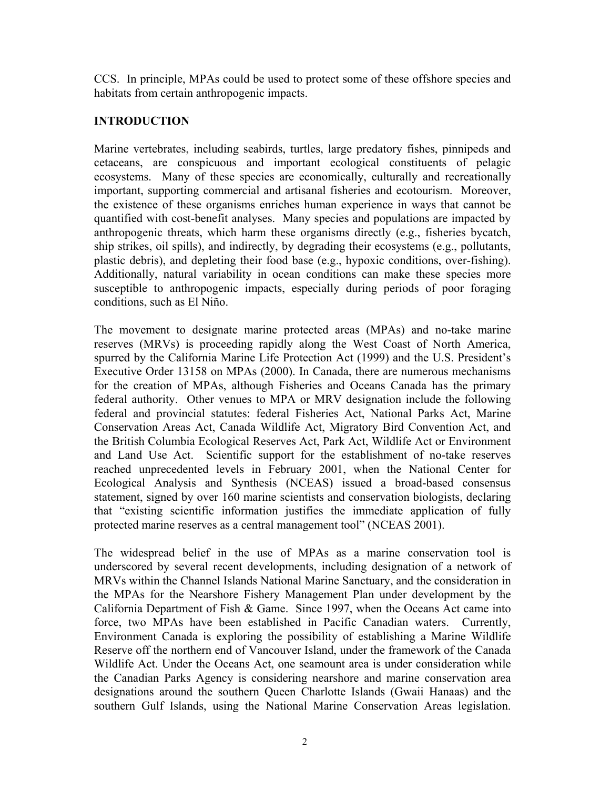CCS. In principle, MPAs could be used to protect some of these offshore species and habitats from certain anthropogenic impacts.

# **INTRODUCTION**

Marine vertebrates, including seabirds, turtles, large predatory fishes, pinnipeds and cetaceans, are conspicuous and important ecological constituents of pelagic ecosystems. Many of these species are economically, culturally and recreationally important, supporting commercial and artisanal fisheries and ecotourism. Moreover, the existence of these organisms enriches human experience in ways that cannot be quantified with cost-benefit analyses. Many species and populations are impacted by anthropogenic threats, which harm these organisms directly (e.g., fisheries bycatch, ship strikes, oil spills), and indirectly, by degrading their ecosystems (e.g., pollutants, plastic debris), and depleting their food base (e.g., hypoxic conditions, over-fishing). Additionally, natural variability in ocean conditions can make these species more susceptible to anthropogenic impacts, especially during periods of poor foraging conditions, such as El Niño.

The movement to designate marine protected areas (MPAs) and no-take marine reserves (MRVs) is proceeding rapidly along the West Coast of North America, spurred by the California Marine Life Protection Act (1999) and the U.S. President's Executive Order 13158 on MPAs (2000). In Canada, there are numerous mechanisms for the creation of MPAs, although Fisheries and Oceans Canada has the primary federal authority. Other venues to MPA or MRV designation include the following federal and provincial statutes: federal Fisheries Act, National Parks Act, Marine Conservation Areas Act, Canada Wildlife Act, Migratory Bird Convention Act, and the British Columbia Ecological Reserves Act, Park Act, Wildlife Act or Environment and Land Use Act. Scientific support for the establishment of no-take reserves reached unprecedented levels in February 2001, when the National Center for Ecological Analysis and Synthesis (NCEAS) issued a broad-based consensus statement, signed by over 160 marine scientists and conservation biologists, declaring that "existing scientific information justifies the immediate application of fully protected marine reserves as a central management tool" (NCEAS 2001).

The widespread belief in the use of MPAs as a marine conservation tool is underscored by several recent developments, including designation of a network of MRVs within the Channel Islands National Marine Sanctuary, and the consideration in the MPAs for the Nearshore Fishery Management Plan under development by the California Department of Fish & Game. Since 1997, when the Oceans Act came into force, two MPAs have been established in Pacific Canadian waters. Currently, Environment Canada is exploring the possibility of establishing a Marine Wildlife Reserve off the northern end of Vancouver Island, under the framework of the Canada Wildlife Act. Under the Oceans Act, one seamount area is under consideration while the Canadian Parks Agency is considering nearshore and marine conservation area designations around the southern Queen Charlotte Islands (Gwaii Hanaas) and the southern Gulf Islands, using the National Marine Conservation Areas legislation.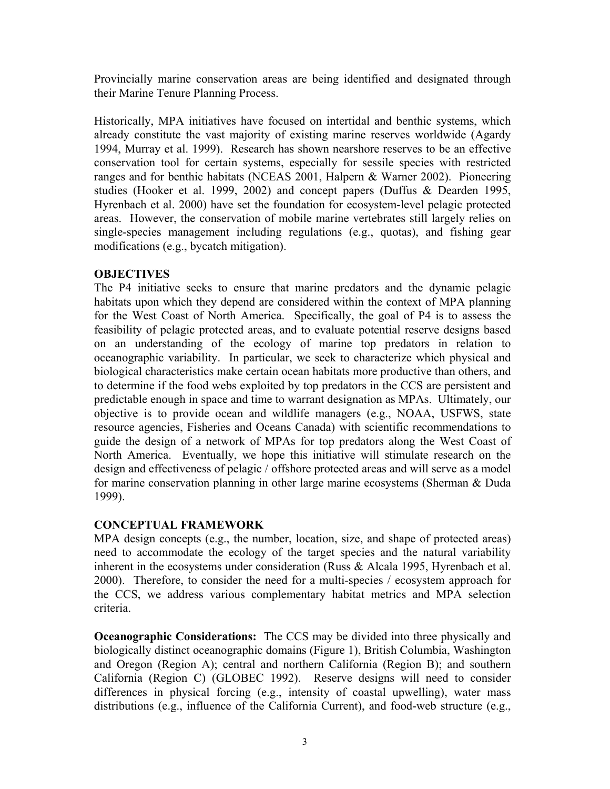Provincially marine conservation areas are being identified and designated through their Marine Tenure Planning Process.

Historically, MPA initiatives have focused on intertidal and benthic systems, which already constitute the vast majority of existing marine reserves worldwide (Agardy 1994, Murray et al. 1999). Research has shown nearshore reserves to be an effective conservation tool for certain systems, especially for sessile species with restricted ranges and for benthic habitats (NCEAS 2001, Halpern & Warner 2002). Pioneering studies (Hooker et al. 1999, 2002) and concept papers (Duffus & Dearden 1995, Hyrenbach et al. 2000) have set the foundation for ecosystem-level pelagic protected areas. However, the conservation of mobile marine vertebrates still largely relies on single-species management including regulations (e.g., quotas), and fishing gear modifications (e.g., bycatch mitigation).

# **OBJECTIVES**

The P4 initiative seeks to ensure that marine predators and the dynamic pelagic habitats upon which they depend are considered within the context of MPA planning for the West Coast of North America. Specifically, the goal of P4 is to assess the feasibility of pelagic protected areas, and to evaluate potential reserve designs based on an understanding of the ecology of marine top predators in relation to oceanographic variability. In particular, we seek to characterize which physical and biological characteristics make certain ocean habitats more productive than others, and to determine if the food webs exploited by top predators in the CCS are persistent and predictable enough in space and time to warrant designation as MPAs. Ultimately, our objective is to provide ocean and wildlife managers (e.g., NOAA, USFWS, state resource agencies, Fisheries and Oceans Canada) with scientific recommendations to guide the design of a network of MPAs for top predators along the West Coast of North America. Eventually, we hope this initiative will stimulate research on the design and effectiveness of pelagic / offshore protected areas and will serve as a model for marine conservation planning in other large marine ecosystems (Sherman & Duda 1999).

## **CONCEPTUAL FRAMEWORK**

MPA design concepts (e.g., the number, location, size, and shape of protected areas) need to accommodate the ecology of the target species and the natural variability inherent in the ecosystems under consideration (Russ & Alcala 1995, Hyrenbach et al. 2000). Therefore, to consider the need for a multi-species / ecosystem approach for the CCS, we address various complementary habitat metrics and MPA selection criteria.

**Oceanographic Considerations:** The CCS may be divided into three physically and biologically distinct oceanographic domains (Figure 1), British Columbia, Washington and Oregon (Region A); central and northern California (Region B); and southern California (Region C) (GLOBEC 1992). Reserve designs will need to consider differences in physical forcing (e.g., intensity of coastal upwelling), water mass distributions (e.g., influence of the California Current), and food-web structure (e.g.,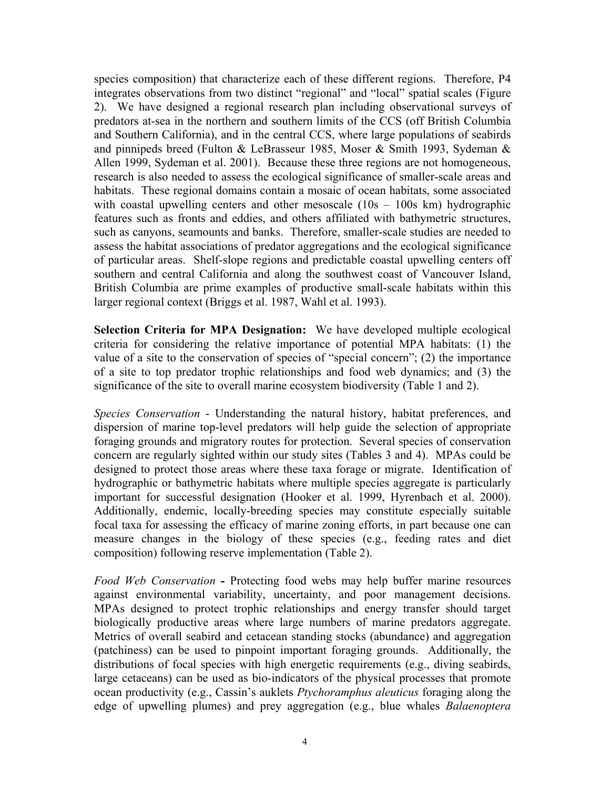species composition) that characterize each of these different regions. Therefore, P4 integrates observations from two distinct "regional" and "local" spatial scales (Figure 2). We have designed a regional research plan including observational surveys of predators at-sea in the northern and southern limits of the CCS (off British Columbia and Southern California), and in the central CCS, where large populations of seabirds and pinnipeds breed (Fulton & LeBrasseur 1985, Moser & Smith 1993, Sydeman & Allen 1999, Sydeman et al. 2001). Because these three regions are not homogeneous, research is also needed to assess the ecological significance of smaller-scale areas and habitats. These regional domains contain a mosaic of ocean habitats, some associated with coastal upwelling centers and other mesoscale  $(10s - 100s)$  km hydrographic features such as fronts and eddies, and others affiliated with bathymetric structures, such as canyons, seamounts and banks. Therefore, smaller-scale studies are needed to assess the habitat associations of predator aggregations and the ecological significance of particular areas. Shelf-slope regions and predictable coastal upwelling centers off southern and central California and along the southwest coast of Vancouver Island, British Columbia are prime examples of productive small-scale habitats within this larger regional context (Briggs et al. 1987, Wahl et al. 1993).

**Selection Criteria for MPA Designation:** We have developed multiple ecological criteria for considering the relative importance of potential MPA habitats: (1) the value of a site to the conservation of species of "special concern"; (2) the importance of a site to top predator trophic relationships and food web dynamics; and (3) the significance of the site to overall marine ecosystem biodiversity (Table 1 and 2).

*Species Conservation* - Understanding the natural history, habitat preferences, and dispersion of marine top-level predators will help guide the selection of appropriate foraging grounds and migratory routes for protection. Several species of conservation concern are regularly sighted within our study sites (Tables 3 and 4). MPAs could be designed to protect those areas where these taxa forage or migrate. Identification of hydrographic or bathymetric habitats where multiple species aggregate is particularly important for successful designation (Hooker et al. 1999, Hyrenbach et al. 2000). Additionally, endemic, locally-breeding species may constitute especially suitable focal taxa for assessing the efficacy of marine zoning efforts, in part because one can measure changes in the biology of these species (e.g., feeding rates and diet composition) following reserve implementation (Table 2).

*Food Web Conservation -* Protecting food webs may help buffer marine resources against environmental variability, uncertainty, and poor management decisions. MPAs designed to protect trophic relationships and energy transfer should target biologically productive areas where large numbers of marine predators aggregate. Metrics of overall seabird and cetacean standing stocks (abundance) and aggregation (patchiness) can be used to pinpoint important foraging grounds. Additionally, the distributions of focal species with high energetic requirements (e.g., diving seabirds, large cetaceans) can be used as bio-indicators of the physical processes that promote ocean productivity (e.g., Cassin's auklets *Ptychoramphus aleuticus* foraging along the edge of upwelling plumes) and prey aggregation (e.g., blue whales *Balaenoptera*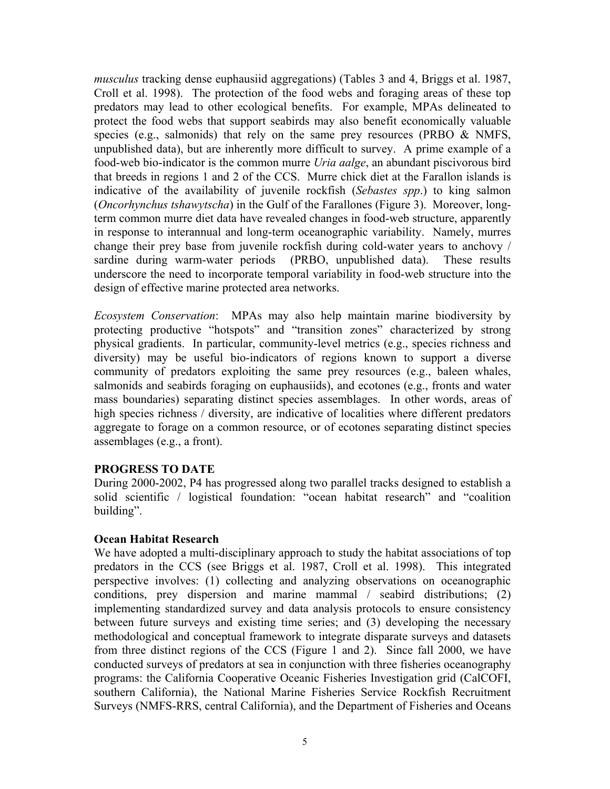*musculus* tracking dense euphausiid aggregations) (Tables 3 and 4, Briggs et al. 1987, Croll et al. 1998). The protection of the food webs and foraging areas of these top predators may lead to other ecological benefits. For example, MPAs delineated to protect the food webs that support seabirds may also benefit economically valuable species (e.g., salmonids) that rely on the same prey resources (PRBO  $\&$  NMFS, unpublished data), but are inherently more difficult to survey. A prime example of a food-web bio-indicator is the common murre *Uria aalge*, an abundant piscivorous bird that breeds in regions 1 and 2 of the CCS. Murre chick diet at the Farallon islands is indicative of the availability of juvenile rockfish (*Sebastes spp*.) to king salmon (*Oncorhynchus tshawytscha*) in the Gulf of the Farallones (Figure 3). Moreover, longterm common murre diet data have revealed changes in food-web structure, apparently in response to interannual and long-term oceanographic variability. Namely, murres change their prey base from juvenile rockfish during cold-water years to anchovy / sardine during warm-water periods (PRBO, unpublished data). These results underscore the need to incorporate temporal variability in food-web structure into the design of effective marine protected area networks.

*Ecosystem Conservation*: MPAs may also help maintain marine biodiversity by protecting productive "hotspots" and "transition zones" characterized by strong physical gradients. In particular, community-level metrics (e.g., species richness and diversity) may be useful bio-indicators of regions known to support a diverse community of predators exploiting the same prey resources (e.g., baleen whales, salmonids and seabirds foraging on euphausiids), and ecotones (e.g., fronts and water mass boundaries) separating distinct species assemblages. In other words, areas of high species richness / diversity, are indicative of localities where different predators aggregate to forage on a common resource, or of ecotones separating distinct species assemblages (e.g., a front).

## **PROGRESS TO DATE**

During 2000-2002, P4 has progressed along two parallel tracks designed to establish a solid scientific / logistical foundation: "ocean habitat research" and "coalition building".

#### **Ocean Habitat Research**

We have adopted a multi-disciplinary approach to study the habitat associations of top predators in the CCS (see Briggs et al. 1987, Croll et al. 1998). This integrated perspective involves: (1) collecting and analyzing observations on oceanographic conditions, prey dispersion and marine mammal / seabird distributions; (2) implementing standardized survey and data analysis protocols to ensure consistency between future surveys and existing time series; and (3) developing the necessary methodological and conceptual framework to integrate disparate surveys and datasets from three distinct regions of the CCS (Figure 1 and 2). Since fall 2000, we have conducted surveys of predators at sea in conjunction with three fisheries oceanography programs: the California Cooperative Oceanic Fisheries Investigation grid (CalCOFI, southern California), the National Marine Fisheries Service Rockfish Recruitment Surveys (NMFS-RRS, central California), and the Department of Fisheries and Oceans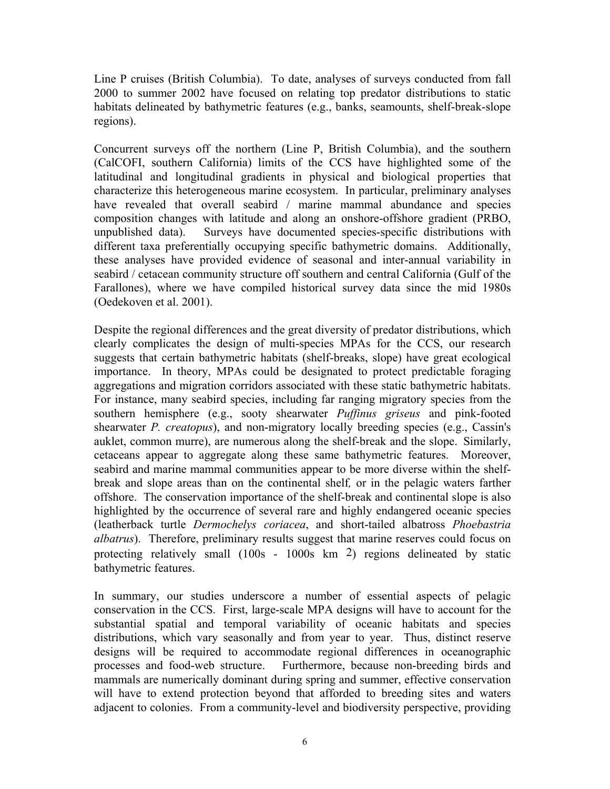Line P cruises (British Columbia). To date, analyses of surveys conducted from fall 2000 to summer 2002 have focused on relating top predator distributions to static habitats delineated by bathymetric features (e.g., banks, seamounts, shelf-break-slope regions).

Concurrent surveys off the northern (Line P, British Columbia), and the southern (CalCOFI, southern California) limits of the CCS have highlighted some of the latitudinal and longitudinal gradients in physical and biological properties that characterize this heterogeneous marine ecosystem. In particular, preliminary analyses have revealed that overall seabird / marine mammal abundance and species composition changes with latitude and along an onshore-offshore gradient (PRBO, unpublished data). Surveys have documented species-specific distributions with different taxa preferentially occupying specific bathymetric domains. Additionally, these analyses have provided evidence of seasonal and inter-annual variability in seabird / cetacean community structure off southern and central California (Gulf of the Farallones), where we have compiled historical survey data since the mid 1980s (Oedekoven et al. 2001).

Despite the regional differences and the great diversity of predator distributions, which clearly complicates the design of multi-species MPAs for the CCS, our research suggests that certain bathymetric habitats (shelf-breaks, slope) have great ecological importance. In theory, MPAs could be designated to protect predictable foraging aggregations and migration corridors associated with these static bathymetric habitats. For instance, many seabird species, including far ranging migratory species from the southern hemisphere (e.g., sooty shearwater *Puffinus griseus* and pink-footed shearwater *P. creatopus*), and non-migratory locally breeding species (e.g., Cassin's auklet, common murre), are numerous along the shelf-break and the slope. Similarly, cetaceans appear to aggregate along these same bathymetric features. Moreover, seabird and marine mammal communities appear to be more diverse within the shelfbreak and slope areas than on the continental shelf*,* or in the pelagic waters farther offshore. The conservation importance of the shelf-break and continental slope is also highlighted by the occurrence of several rare and highly endangered oceanic species (leatherback turtle *Dermochelys coriacea*, and short-tailed albatross *Phoebastria albatrus*). Therefore, preliminary results suggest that marine reserves could focus on protecting relatively small (100s - 1000s km 2) regions delineated by static bathymetric features.

In summary, our studies underscore a number of essential aspects of pelagic conservation in the CCS. First, large-scale MPA designs will have to account for the substantial spatial and temporal variability of oceanic habitats and species distributions, which vary seasonally and from year to year. Thus, distinct reserve designs will be required to accommodate regional differences in oceanographic processes and food-web structure. Furthermore, because non-breeding birds and mammals are numerically dominant during spring and summer, effective conservation will have to extend protection beyond that afforded to breeding sites and waters adjacent to colonies. From a community-level and biodiversity perspective, providing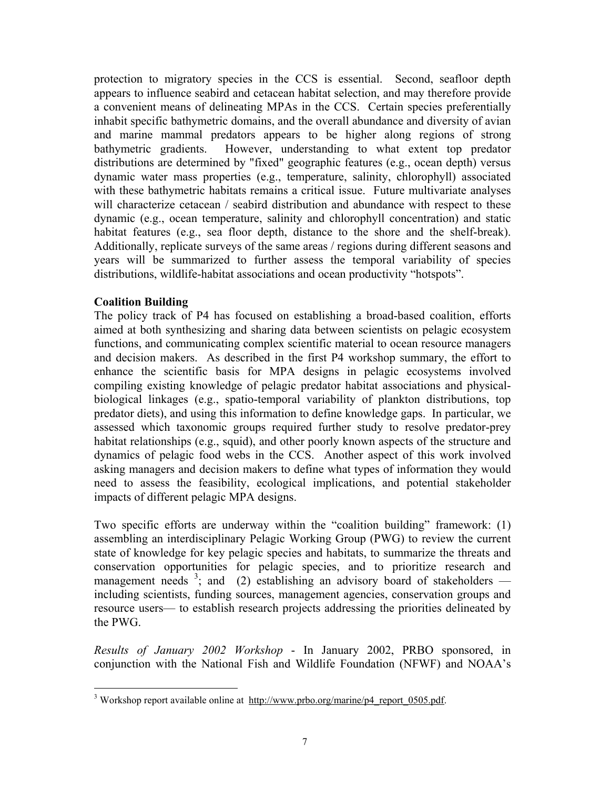protection to migratory species in the CCS is essential. Second, seafloor depth appears to influence seabird and cetacean habitat selection, and may therefore provide a convenient means of delineating MPAs in the CCS. Certain species preferentially inhabit specific bathymetric domains, and the overall abundance and diversity of avian and marine mammal predators appears to be higher along regions of strong bathymetric gradients. However, understanding to what extent top predator distributions are determined by "fixed" geographic features (e.g., ocean depth) versus dynamic water mass properties (e.g., temperature, salinity, chlorophyll) associated with these bathymetric habitats remains a critical issue. Future multivariate analyses will characterize cetacean / seabird distribution and abundance with respect to these dynamic (e.g., ocean temperature, salinity and chlorophyll concentration) and static habitat features (e.g., sea floor depth, distance to the shore and the shelf-break). Additionally, replicate surveys of the same areas / regions during different seasons and years will be summarized to further assess the temporal variability of species distributions, wildlife-habitat associations and ocean productivity "hotspots".

## **Coalition Building**

 $\overline{a}$ 

The policy track of P4 has focused on establishing a broad-based coalition, efforts aimed at both synthesizing and sharing data between scientists on pelagic ecosystem functions, and communicating complex scientific material to ocean resource managers and decision makers. As described in the first P4 workshop summary, the effort to enhance the scientific basis for MPA designs in pelagic ecosystems involved compiling existing knowledge of pelagic predator habitat associations and physicalbiological linkages (e.g., spatio-temporal variability of plankton distributions, top predator diets), and using this information to define knowledge gaps. In particular, we assessed which taxonomic groups required further study to resolve predator-prey habitat relationships (e.g., squid), and other poorly known aspects of the structure and dynamics of pelagic food webs in the CCS. Another aspect of this work involved asking managers and decision makers to define what types of information they would need to assess the feasibility, ecological implications, and potential stakeholder impacts of different pelagic MPA designs.

Two specific efforts are underway within the "coalition building" framework: (1) assembling an interdisciplinary Pelagic Working Group (PWG) to review the current state of knowledge for key pelagic species and habitats, to summarize the threats and conservation opportunities for pelagic species, and to prioritize research and management needs  $3$ ; and (2) establishing an advisory board of stakeholders including scientists, funding sources, management agencies, conservation groups and resource users— to establish research projects addressing the priorities delineated by the PWG.

*Results of January 2002 Workshop* - In January 2002, PRBO sponsored, in conjunction with the National Fish and Wildlife Foundation (NFWF) and NOAA's

<span id="page-6-0"></span><sup>&</sup>lt;sup>3</sup> Workshop report available online at  $\frac{http://www.prob.org/marine/p4$  report 0505.pdf.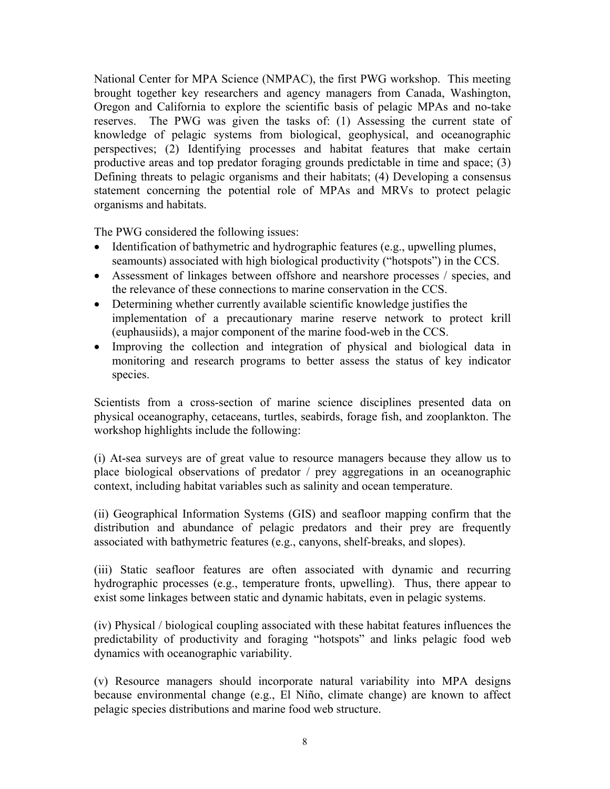National Center for MPA Science (NMPAC), the first PWG workshop. This meeting brought together key researchers and agency managers from Canada, Washington, Oregon and California to explore the scientific basis of pelagic MPAs and no-take reserves. The PWG was given the tasks of: (1) Assessing the current state of knowledge of pelagic systems from biological, geophysical, and oceanographic perspectives; (2) Identifying processes and habitat features that make certain productive areas and top predator foraging grounds predictable in time and space; (3) Defining threats to pelagic organisms and their habitats; (4) Developing a consensus statement concerning the potential role of MPAs and MRVs to protect pelagic organisms and habitats.

The PWG considered the following issues:

- Identification of bathymetric and hydrographic features (e.g., upwelling plumes, seamounts) associated with high biological productivity ("hotspots") in the CCS.
- Assessment of linkages between offshore and nearshore processes / species, and the relevance of these connections to marine conservation in the CCS.
- Determining whether currently available scientific knowledge justifies the implementation of a precautionary marine reserve network to protect krill (euphausiids), a major component of the marine food-web in the CCS.
- Improving the collection and integration of physical and biological data in monitoring and research programs to better assess the status of key indicator species.

Scientists from a cross-section of marine science disciplines presented data on physical oceanography, cetaceans, turtles, seabirds, forage fish, and zooplankton. The workshop highlights include the following:

(i) At-sea surveys are of great value to resource managers because they allow us to place biological observations of predator / prey aggregations in an oceanographic context, including habitat variables such as salinity and ocean temperature.

(ii) Geographical Information Systems (GIS) and seafloor mapping confirm that the distribution and abundance of pelagic predators and their prey are frequently associated with bathymetric features (e.g., canyons, shelf-breaks, and slopes).

(iii) Static seafloor features are often associated with dynamic and recurring hydrographic processes (e.g., temperature fronts, upwelling). Thus, there appear to exist some linkages between static and dynamic habitats, even in pelagic systems.

(iv) Physical / biological coupling associated with these habitat features influences the predictability of productivity and foraging "hotspots" and links pelagic food web dynamics with oceanographic variability.

(v) Resource managers should incorporate natural variability into MPA designs because environmental change (e.g., El Niño, climate change) are known to affect pelagic species distributions and marine food web structure.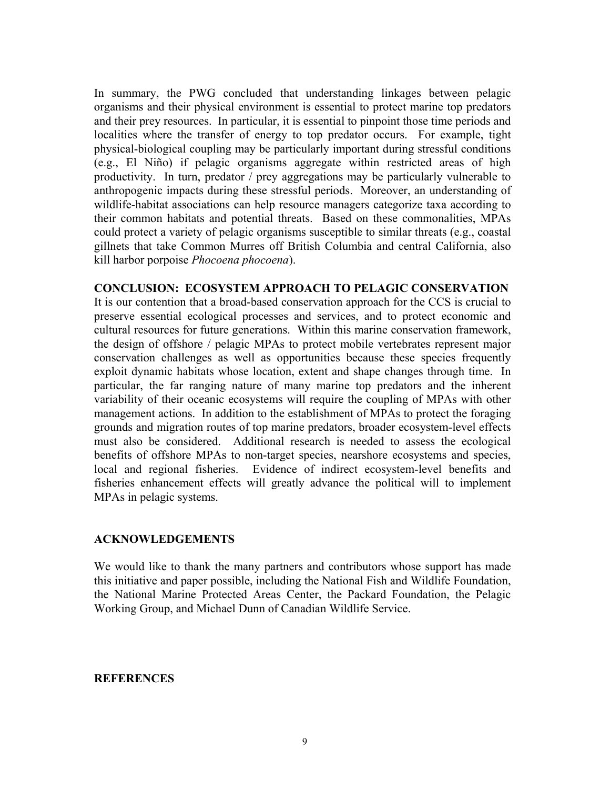In summary, the PWG concluded that understanding linkages between pelagic organisms and their physical environment is essential to protect marine top predators and their prey resources. In particular, it is essential to pinpoint those time periods and localities where the transfer of energy to top predator occurs. For example, tight physical-biological coupling may be particularly important during stressful conditions (e.g., El Niño) if pelagic organisms aggregate within restricted areas of high productivity. In turn, predator / prey aggregations may be particularly vulnerable to anthropogenic impacts during these stressful periods. Moreover, an understanding of wildlife-habitat associations can help resource managers categorize taxa according to their common habitats and potential threats. Based on these commonalities, MPAs could protect a variety of pelagic organisms susceptible to similar threats (e.g., coastal gillnets that take Common Murres off British Columbia and central California, also kill harbor porpoise *Phocoena phocoena*).

### **CONCLUSION: ECOSYSTEM APPROACH TO PELAGIC CONSERVATION**

It is our contention that a broad-based conservation approach for the CCS is crucial to preserve essential ecological processes and services, and to protect economic and cultural resources for future generations. Within this marine conservation framework, the design of offshore / pelagic MPAs to protect mobile vertebrates represent major conservation challenges as well as opportunities because these species frequently exploit dynamic habitats whose location, extent and shape changes through time. In particular, the far ranging nature of many marine top predators and the inherent variability of their oceanic ecosystems will require the coupling of MPAs with other management actions. In addition to the establishment of MPAs to protect the foraging grounds and migration routes of top marine predators, broader ecosystem-level effects must also be considered. Additional research is needed to assess the ecological benefits of offshore MPAs to non-target species, nearshore ecosystems and species, local and regional fisheries. Evidence of indirect ecosystem-level benefits and fisheries enhancement effects will greatly advance the political will to implement MPAs in pelagic systems.

### **ACKNOWLEDGEMENTS**

We would like to thank the many partners and contributors whose support has made this initiative and paper possible, including the National Fish and Wildlife Foundation, the National Marine Protected Areas Center, the Packard Foundation, the Pelagic Working Group, and Michael Dunn of Canadian Wildlife Service.

### **REFERENCES**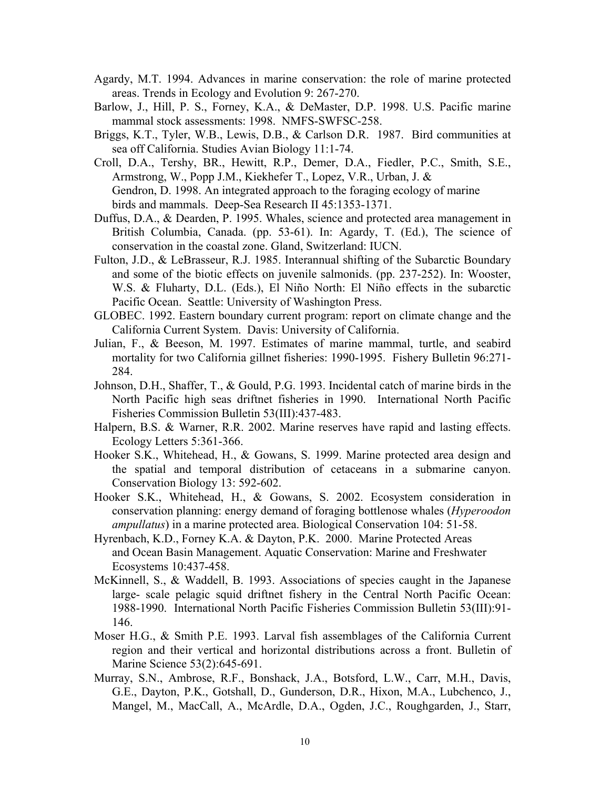- Agardy, M.T. 1994. Advances in marine conservation: the role of marine protected areas. Trends in Ecology and Evolution 9: 267-270.
- Barlow, J., Hill, P. S., Forney, K.A., & DeMaster, D.P. 1998. U.S. Pacific marine mammal stock assessments: 1998. NMFS-SWFSC-258.
- Briggs, K.T., Tyler, W.B., Lewis, D.B., & Carlson D.R. 1987. Bird communities at sea off California. Studies Avian Biology 11:1-74.
- Croll, D.A., Tershy, BR., Hewitt, R.P., Demer, D.A., Fiedler, P.C., Smith, S.E., Armstrong, W., Popp J.M., Kiekhefer T., Lopez, V.R., Urban, J. & Gendron, D. 1998. An integrated approach to the foraging ecology of marine birds and mammals. Deep-Sea Research II 45:1353-1371.
- Duffus, D.A., & Dearden, P. 1995. Whales, science and protected area management in British Columbia, Canada. (pp. 53-61). In: Agardy, T. (Ed.), The science of conservation in the coastal zone. Gland, Switzerland: IUCN.
- Fulton, J.D., & LeBrasseur, R.J. 1985. Interannual shifting of the Subarctic Boundary and some of the biotic effects on juvenile salmonids. (pp. 237-252). In: Wooster, W.S. & Fluharty, D.L. (Eds.), El Niño North: El Niño effects in the subarctic Pacific Ocean. Seattle: University of Washington Press.
- GLOBEC. 1992. Eastern boundary current program: report on climate change and the California Current System. Davis: University of California.
- Julian, F., & Beeson, M. 1997. Estimates of marine mammal, turtle, and seabird mortality for two California gillnet fisheries: 1990-1995. Fishery Bulletin 96:271- 284.
- Johnson, D.H., Shaffer, T., & Gould, P.G. 1993. Incidental catch of marine birds in the North Pacific high seas driftnet fisheries in 1990. International North Pacific Fisheries Commission Bulletin 53(III):437-483.
- Halpern, B.S. & Warner, R.R. 2002. Marine reserves have rapid and lasting effects. Ecology Letters 5:361-366.
- Hooker S.K., Whitehead, H., & Gowans, S. 1999. Marine protected area design and the spatial and temporal distribution of cetaceans in a submarine canyon. Conservation Biology 13: 592-602.
- Hooker S.K., Whitehead, H., & Gowans, S. 2002. Ecosystem consideration in conservation planning: energy demand of foraging bottlenose whales (*Hyperoodon ampullatus*) in a marine protected area. Biological Conservation 104: 51-58.
- Hyrenbach, K.D., Forney K.A. & Dayton, P.K. 2000. Marine Protected Areas and Ocean Basin Management. Aquatic Conservation: Marine and Freshwater Ecosystems 10:437-458.
- McKinnell, S., & Waddell, B. 1993. Associations of species caught in the Japanese large- scale pelagic squid driftnet fishery in the Central North Pacific Ocean: 1988-1990. International North Pacific Fisheries Commission Bulletin 53(III):91- 146.
- Moser H.G., & Smith P.E. 1993. Larval fish assemblages of the California Current region and their vertical and horizontal distributions across a front. Bulletin of Marine Science 53(2):645-691.
- Murray, S.N., Ambrose, R.F., Bonshack, J.A., Botsford, L.W., Carr, M.H., Davis, G.E., Dayton, P.K., Gotshall, D., Gunderson, D.R., Hixon, M.A., Lubchenco, J., Mangel, M., MacCall, A., McArdle, D.A., Ogden, J.C., Roughgarden, J., Starr,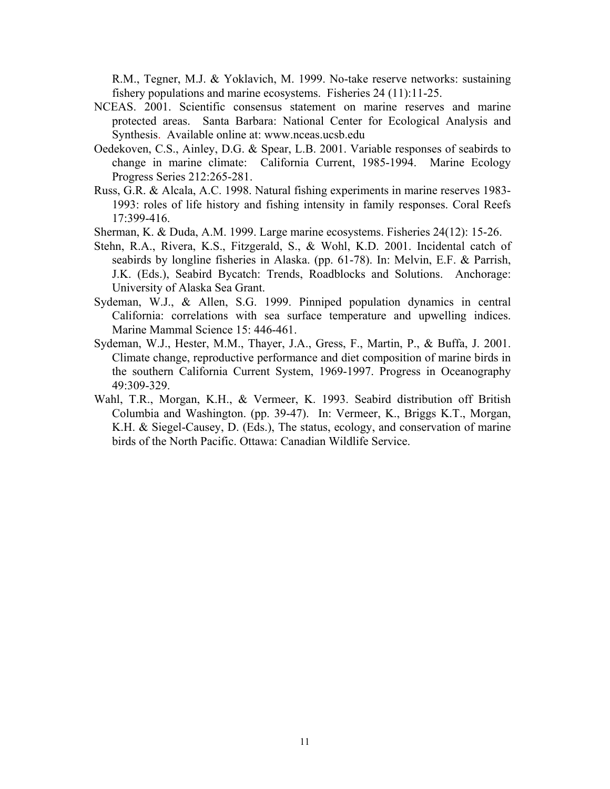R.M., Tegner, M.J. & Yoklavich, M. 1999. No-take reserve networks: sustaining fishery populations and marine ecosystems. Fisheries 24 (11):11-25.

- NCEAS. 2001. Scientific consensus statement on marine reserves and marine protected areas. Santa Barbara: National Center for Ecological Analysis and Synthesis. Available online at: www.nceas.ucsb.edu
- Oedekoven, C.S., Ainley, D.G. & Spear, L.B. 2001. Variable responses of seabirds to change in marine climate: California Current, 1985-1994. Marine Ecology Progress Series 212:265-281.
- Russ, G.R. & Alcala, A.C. 1998. Natural fishing experiments in marine reserves 1983- 1993: roles of life history and fishing intensity in family responses. Coral Reefs 17:399-416.
- Sherman, K. & Duda, A.M. 1999. Large marine ecosystems. Fisheries 24(12): 15-26.
- Stehn, R.A., Rivera, K.S., Fitzgerald, S., & Wohl, K.D. 2001. Incidental catch of seabirds by longline fisheries in Alaska. (pp. 61-78). In: Melvin, E.F. & Parrish, J.K. (Eds.), Seabird Bycatch: Trends, Roadblocks and Solutions. Anchorage: University of Alaska Sea Grant.
- Sydeman, W.J., & Allen, S.G. 1999. Pinniped population dynamics in central California: correlations with sea surface temperature and upwelling indices. Marine Mammal Science 15: 446-461.
- Sydeman, W.J., Hester, M.M., Thayer, J.A., Gress, F., Martin, P., & Buffa, J. 2001. Climate change, reproductive performance and diet composition of marine birds in the southern California Current System, 1969-1997. Progress in Oceanography 49:309-329.
- Wahl, T.R., Morgan, K.H., & Vermeer, K. 1993. Seabird distribution off British Columbia and Washington. (pp. 39-47). In: Vermeer, K., Briggs K.T., Morgan, K.H. & Siegel-Causey, D. (Eds.), The status, ecology, and conservation of marine birds of the North Pacific. Ottawa: Canadian Wildlife Service.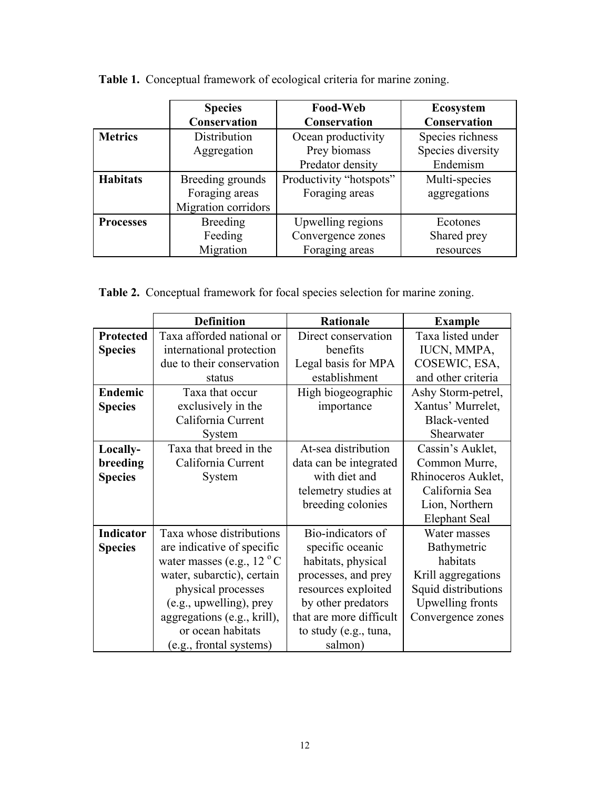|                  | <b>Species</b>      | <b>Food-Web</b>         | <b>Ecosystem</b>    |  |
|------------------|---------------------|-------------------------|---------------------|--|
|                  | <b>Conservation</b> | <b>Conservation</b>     | <b>Conservation</b> |  |
| <b>Metrics</b>   | Distribution        | Ocean productivity      | Species richness    |  |
|                  | Aggregation         | Prey biomass            | Species diversity   |  |
|                  |                     | Predator density        | Endemism            |  |
| <b>Habitats</b>  | Breeding grounds    | Productivity "hotspots" | Multi-species       |  |
|                  | Foraging areas      | Foraging areas          | aggregations        |  |
|                  | Migration corridors |                         |                     |  |
| <b>Processes</b> | <b>Breeding</b>     | Upwelling regions       | Ecotones            |  |
|                  | Feeding             | Convergence zones       | Shared prey         |  |
|                  | Migration           | Foraging areas          | resources           |  |

**Table 1.** Conceptual framework of ecological criteria for marine zoning.

**Table 2.** Conceptual framework for focal species selection for marine zoning.

|                  | <b>Definition</b>                    | <b>Rationale</b>        | <b>Example</b>       |
|------------------|--------------------------------------|-------------------------|----------------------|
| <b>Protected</b> | Taxa afforded national or            | Direct conservation     | Taxa listed under    |
| <b>Species</b>   | international protection             | benefits                | IUCN, MMPA,          |
|                  | due to their conservation            | Legal basis for MPA     | COSEWIC, ESA,        |
|                  | status                               | establishment           | and other criteria   |
| Endemic          | Taxa that occur                      | High biogeographic      | Ashy Storm-petrel,   |
| <b>Species</b>   | exclusively in the                   | importance              | Xantus' Murrelet,    |
|                  | California Current                   |                         | Black-vented         |
|                  | System                               |                         | Shearwater           |
| Locally-         | Taxa that breed in the               | At-sea distribution     | Cassin's Auklet,     |
| breeding         | California Current                   | data can be integrated  | Common Murre,        |
| <b>Species</b>   | System                               | with diet and           | Rhinoceros Auklet,   |
|                  |                                      | telemetry studies at    | California Sea       |
|                  |                                      | breeding colonies       | Lion, Northern       |
|                  |                                      |                         | <b>Elephant Seal</b> |
| <b>Indicator</b> | Taxa whose distributions             | Bio-indicators of       | Water masses         |
| <b>Species</b>   | are indicative of specific           | specific oceanic        | Bathymetric          |
|                  | water masses (e.g., $12 \degree C$ ) | habitats, physical      | habitats             |
|                  | water, subarctic), certain           | processes, and prey     | Krill aggregations   |
|                  | physical processes                   | resources exploited     | Squid distributions  |
|                  | (e.g., upwelling), prey              | by other predators      | Upwelling fronts     |
|                  | aggregations (e.g., krill),          | that are more difficult | Convergence zones    |
|                  | or ocean habitats                    | to study (e.g., tuna,   |                      |
|                  | (e.g., frontal systems)              | salmon)                 |                      |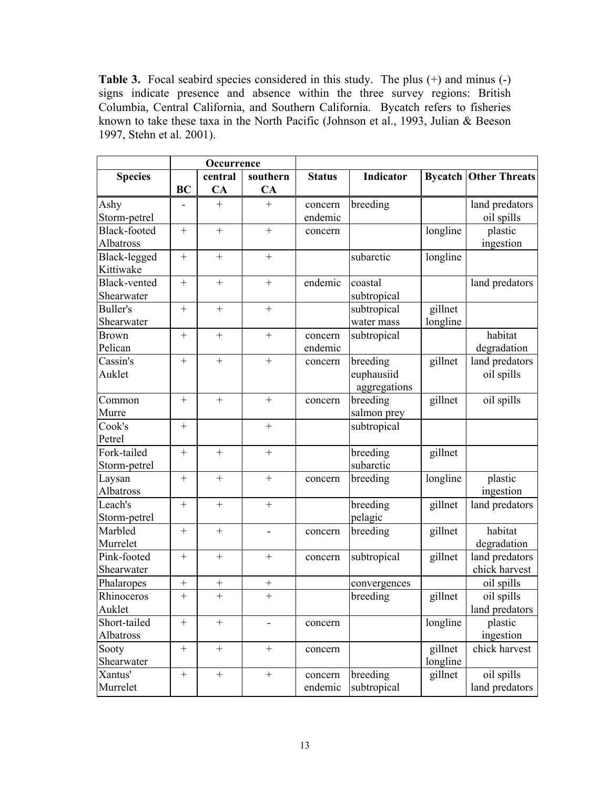**Table 3.** Focal seabird species considered in this study. The plus (+) and minus (-) signs indicate presence and absence within the three survey regions: British Columbia, Central California, and Southern California. Bycatch refers to fisheries known to take these taxa in the North Pacific (Johnson et al., 1993, Julian & Beeson 1997, Stehn et al. 2001).

|                       | Occurrence |           |                          |               |                       |          |                              |
|-----------------------|------------|-----------|--------------------------|---------------|-----------------------|----------|------------------------------|
| <b>Species</b>        |            | central   | southern                 | <b>Status</b> | Indicator             |          | <b>Bycatch Other Threats</b> |
|                       | <b>BC</b>  | CA        | CA                       |               |                       |          |                              |
| Ashy                  |            | $+$       | $^{+}$                   | concern       | breeding              |          | land predators               |
| Storm-petrel          |            |           |                          | endemic       |                       |          | oil spills                   |
| <b>Black-footed</b>   |            | $^{+}$    | $+$                      | concern       |                       | longline | plastic                      |
| Albatross             |            |           |                          |               |                       |          | ingestion                    |
| Black-legged          | $^{+}$     | $^{+}$    | $\ddot{}$                |               | subarctic             | longline |                              |
| Kittiwake             |            |           |                          |               |                       |          |                              |
| Black-vented          | $\! +$     | $\! +$    |                          | endemic       | coastal               |          | land predators               |
| Shearwater            |            |           |                          |               | subtropical           |          |                              |
| <b>Buller's</b>       | $^{+}$     | $+$       | $+$                      |               | subtropical           | gillnet  |                              |
| Shearwater            |            |           |                          |               | water mass            | longline |                              |
| <b>Brown</b>          | $^{+}$     | $^{+}$    | $+$                      | concern       | subtropical           |          | habitat                      |
| Pelican               |            |           |                          | endemic       |                       |          | degradation                  |
| Cassin's              |            | $^{+}$    |                          | concern       | breeding              | gillnet  | land predators               |
| Auklet                |            |           |                          |               | euphausiid            |          | oil spills                   |
|                       |            |           |                          |               | aggregations          |          |                              |
| Common                | $^{+}$     | $+$       | $+$                      | concern       | breeding              | gillnet  | oil spills                   |
| Murre                 |            |           |                          |               | salmon prey           |          |                              |
| Cook's                | $^{+}$     |           | $^{+}$                   |               | subtropical           |          |                              |
| Petrel<br>Fork-tailed |            |           | $+$                      |               |                       |          |                              |
|                       | $^{+}$     | $^{+}$    |                          |               | breeding<br>subarctic | gillnet  |                              |
| Storm-petrel          | $+$        | $\! +$    | $+$                      |               | breeding              | longline | plastic                      |
| Laysan<br>Albatross   |            |           |                          | concern       |                       |          | ingestion                    |
| Leach's               | $^{+}$     | $^{+}$    | $+$                      |               | breeding              | gillnet  | land predators               |
| Storm-petrel          |            |           |                          |               | pelagic               |          |                              |
| Marbled               | $\! +$     | $\! +$    | $\overline{\phantom{a}}$ | concern       | breeding              | gillnet  | habitat                      |
| Murrelet              |            |           |                          |               |                       |          | degradation                  |
| Pink-footed           | $^{+}$     | $+$       | $^{+}$                   | concern       | subtropical           | gillnet  | land predators               |
| Shearwater            |            |           |                          |               |                       |          | chick harvest                |
| Phalaropes            | $^{+}$     | $^{+}$    | $+$                      |               | convergences          |          | oil spills                   |
| Rhinoceros            | $\ddot{}$  | $\ddot{}$ | $\ddot{}$                |               | breeding              | gillnet  | oil spills                   |
| Auklet                |            |           |                          |               |                       |          | land predators               |
| Short-tailed          |            | $+$       |                          | concern       |                       | longline | plastic                      |
| Albatross             |            |           |                          |               |                       |          | ingestion                    |
| Sooty                 | $+$        | $^{+}$    |                          | concern       |                       | gillnet  | chick harvest                |
| Shearwater            |            |           |                          |               |                       | longline |                              |
| Xantus'               |            | $\! +$    | $\boldsymbol{+}$         | concern       | breeding              | gillnet  | oil spills                   |
| Murrelet              |            |           |                          | endemic       | subtropical           |          | land predators               |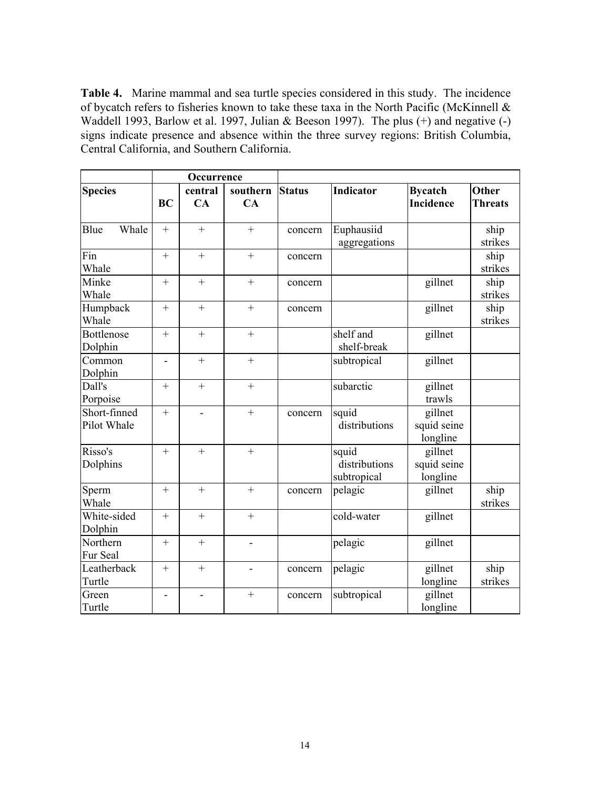**Table 4.** Marine mammal and sea turtle species considered in this study. The incidence of bycatch refers to fisheries known to take these taxa in the North Pacific (McKinnell & Waddell 1993, Barlow et al. 1997, Julian & Beeson 1997). The plus (+) and negative (-) signs indicate presence and absence within the three survey regions: British Columbia, Central California, and Southern California.

|                              | Occurrence               |                |                |               |                                       |                                    |                                |
|------------------------------|--------------------------|----------------|----------------|---------------|---------------------------------------|------------------------------------|--------------------------------|
| <b>Species</b>               | <b>BC</b>                | central<br>CA  | southern<br>CA | <b>Status</b> | <b>Indicator</b>                      | <b>Bycatch</b><br><b>Incidence</b> | <b>Other</b><br><b>Threats</b> |
| Whale<br>Blue                | $+$                      | $^{+}$         | $^{+}$         | concern       | Euphausiid<br>aggregations            |                                    | ship<br>strikes                |
| Fin<br>Whale                 | $+$                      | $+$            | $+$            | concern       |                                       |                                    | ship<br>strikes                |
| Minke<br>Whale               | $^{+}$                   | $^{+}$         | $^{+}$         | concern       |                                       | gillnet                            | ship<br>strikes                |
| Humpback<br>Whale            | $+$                      | $+$            | $^{+}$         | concern       |                                       | gillnet                            | ship<br>strikes                |
| <b>Bottlenose</b><br>Dolphin | $+$                      | $^{+}$         | $\ddot{}$      |               | shelf and<br>shelf-break              | gillnet                            |                                |
| Common<br>Dolphin            | ÷,                       |                | $^{+}$         |               | subtropical                           | gillnet                            |                                |
| Dall's<br>Porpoise           | $+$                      | $+$            | $^{+}$         |               | subarctic                             | gillnet<br>trawls                  |                                |
| Short-finned<br>Pilot Whale  | $^{+}$                   |                | $+$            | concern       | squid<br>distributions                | gillnet<br>squid seine<br>longline |                                |
| Risso's<br>Dolphins          | $+$                      | $\ddot{}$      | $^{+}$         |               | squid<br>distributions<br>subtropical | gillnet<br>squid seine<br>longline |                                |
| Sperm<br>Whale               | $+$                      | $^{+}$         | $\ddot{}$      | concern       | pelagic                               | gillnet                            | ship<br>strikes                |
| White-sided<br>Dolphin       |                          |                | $^{+}$         |               | cold-water                            | gillnet                            |                                |
| Northern<br>Fur Seal         | $^{+}$                   | $^{+}$         | ÷,             |               | pelagic                               | gillnet                            |                                |
| Leatherback<br>Turtle        | $^{+}$                   | $+$            | -              | concern       | pelagic                               | gillnet<br>longline                | ship<br>strikes                |
| Green<br>Turtle              | $\overline{\phantom{0}}$ | $\overline{a}$ |                | concern       | subtropical                           | gillnet<br>longline                |                                |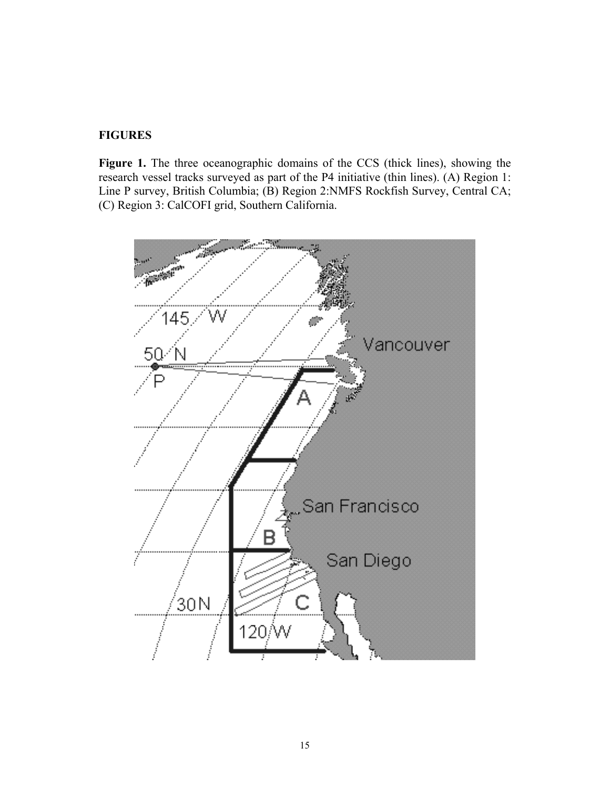## **FIGURES**

Figure 1. The three oceanographic domains of the CCS (thick lines), showing the research vessel tracks surveyed as part of the P4 initiative (thin lines). (A) Region 1: Line P survey, British Columbia; (B) Region 2:NMFS Rockfish Survey, Central CA; (C) Region 3: CalCOFI grid, Southern California.

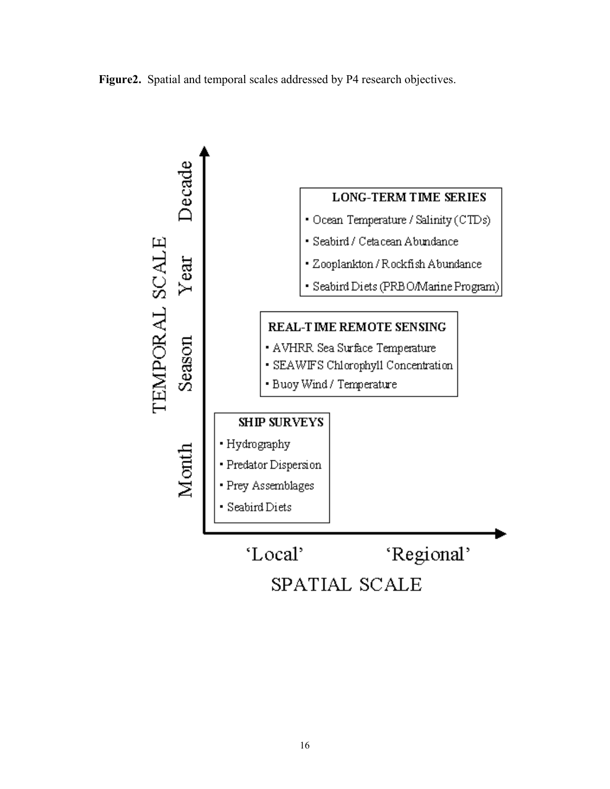



SPATIAL SCALE